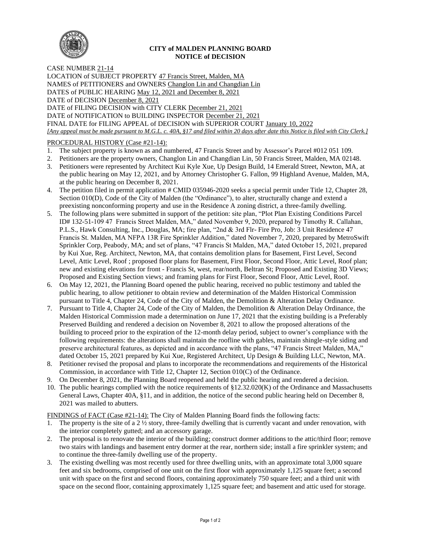

#### **CITY of MALDEN PLANNING BOARD NOTICE of DECISION**

#### CASE NUMBER 21-14

LOCATION of SUBJECT PROPERTY 47 Francis Street, Malden, MA NAMES of PETITIONERS and OWNERS Changlon Lin and Changdian Lin DATES of PUBLIC HEARING May 12, 2021 and December 8, 2021 DATE of DECISION December 8, 2021 DATE of FILING DECISION with CITY CLERK December 21, 2021 DATE of NOTIFICATION to BUILDING INSPECTOR December 21, 2021 FINAL DATE for FILING APPEAL of DECISION with SUPERIOR COURT January 10, 2022 *[Any appeal must be made pursuant to M.G.L. c. 40A, §17 and filed within 20 days after date this Notice is filed with City Clerk.]* 

## PROCEDURAL HISTORY (Case #21-14):

- 1. The subject property is known as and numbered, 47 Francis Street and by Assessor's Parcel #012 051 109.
- 2. Petitioners are the property owners, Changlon Lin and Changdian Lin, 50 Francis Street, Malden, MA 02148.
- 3. Petitioners were represented by Architect Kui Kyle Xue, Up Design Build, 14 Emerald Street, Newton, MA, at the public hearing on May 12, 2021, and by Attorney Christopher G. Fallon, 99 Highland Avenue, Malden, MA, at the public hearing on December 8, 2021.
- 4. The petition filed in permit application # CMID 035946-2020 seeks a special permit under Title 12, Chapter 28, Section 010(D), Code of the City of Malden (the "Ordinance"), to alter, structurally change and extend a preexisting nonconforming property and use in the Residence A zoning district, a three-family dwelling.
- 5. The following plans were submitted in support of the petition: site plan, "Plot Plan Existing Conditions Parcel ID# 132-51-109 47 Francis Street Malden, MA," dated November 9, 2020, prepared by Timothy R. Callahan, P.L.S., Hawk Consulting, Inc., Douglas, MA; fire plan, "2nd & 3rd Flr- Fire Pro, Job: 3 Unit Residence 47 Francis St. Malden, MA NFPA 13R Fire Sprinkler Addition," dated November 7, 2020, prepared by MetroSwift Sprinkler Corp, Peabody, MA; and set of plans, "47 Francis St Malden, MA," dated October 15, 2021, prepared by Kui Xue, Reg. Architect, Newton, MA, that contains demolition plans for Basement, First Level, Second Level, Attic Level, Roof ; proposed floor plans for Basement, First Floor, Second Floor, Attic Level, Roof plan; new and existing elevations for front - Francis St, west, rear/north, Beltran St; Proposed and Existing 3D Views; Proposed and Existing Section views; and framing plans for First Floor, Second Floor, Attic Level, Roof.
- 6. On May 12, 2021, the Planning Board opened the public hearing, received no public testimony and tabled the public hearing, to allow petitioner to obtain review and determination of the Malden Historical Commission pursuant to Title 4, Chapter 24, Code of the City of Malden, the Demolition & Alteration Delay Ordinance.
- 7. Pursuant to Title 4, Chapter 24, Code of the City of Malden, the Demolition & Alteration Delay Ordinance, the Malden Historical Commission made a determination on June 17, 2021 that the existing building is a Preferably Preserved Building and rendered a decision on November 8, 2021 to allow the proposed alterations of the building to proceed prior to the expiration of the 12-month delay period, subject to owner's compliance with the following requirements: the alterations shall maintain the roofline with gables, maintain shingle-style siding and preserve architectural features, as depicted and in accordance with the plans, "47 Francis Street Malden, MA," dated October 15, 2021 prepared by Kui Xue, Registered Architect, Up Design & Building LLC, Newton, MA.
- 8. Petitioner revised the proposal and plans to incorporate the recommendations and requirements of the Historical Commission, in accordance with Title 12, Chapter 12, Section 010(C) of the Ordinance.
- 9. On December 8, 2021, the Planning Board reopened and held the public hearing and rendered a decision.
- 10. The public hearings complied with the notice requirements of §12.32.020(K) of the Ordinance and Massachusetts General Laws, Chapter 40A, §11, and in addition, the notice of the second public hearing held on December 8, 2021 was mailed to abutters.

FINDINGS of FACT (Case #21-14): The City of Malden Planning Board finds the following facts:

- 1. The property is the site of a 2 ½ story, three-family dwelling that is currently vacant and under renovation, with the interior completely gutted; and an accessory garage.
- 2. The proposal is to renovate the interior of the building; construct dormer additions to the attic/third floor; remove two stairs with landings and basement entry dormer at the rear, northern side; install a fire sprinkler system; and to continue the three-family dwelling use of the property.
- 3. The existing dwelling was most recently used for three dwelling units, with an approximate total 3,000 square feet and six bedrooms, comprised of one unit on the first floor with approximately 1,125 square feet; a second unit with space on the first and second floors, containing approximately 750 square feet; and a third unit with space on the second floor, containing approximately 1,125 square feet; and basement and attic used for storage.